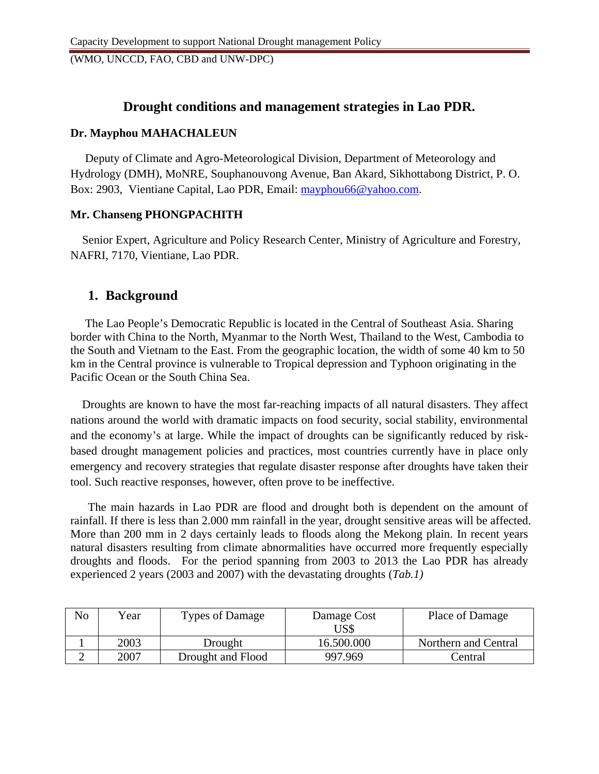## **Drought conditions and management strategies in Lao PDR.**

#### **Dr. Mayphou MAHACHALEUN**

 Deputy of Climate and Agro-Meteorological Division, Department of Meteorology and Hydrology (DMH), MoNRE, Souphanouvong Avenue, Ban Akard, Sikhottabong District, P. O. Box: 2903, Vientiane Capital, Lao PDR, Email: [mayphou66@yahoo.com.](mailto:mayphou66@yahoo.com)

#### **Mr. Chanseng PHONGPACHITH**

 Senior Expert, Agriculture and Policy Research Center, Ministry of Agriculture and Forestry, NAFRI, 7170, Vientiane, Lao PDR.

## **1. Background**

 The Lao People's Democratic Republic is located in the Central of Southeast Asia. Sharing border with China to the North, Myanmar to the North West, Thailand to the West, Cambodia to the South and Vietnam to the East. From the geographic location, the width of some 40 km to 50 km in the Central province is vulnerable to Tropical depression and Typhoon originating in the Pacific Ocean or the South China Sea.

 Droughts are known to have the most far-reaching impacts of all natural disasters. They affect nations around the world with dramatic impacts on food security, social stability, environmental and the economy's at large. While the impact of droughts can be significantly reduced by riskbased drought management policies and practices, most countries currently have in place only emergency and recovery strategies that regulate disaster response after droughts have taken their tool. Such reactive responses, however, often prove to be ineffective.

 The main hazards in Lao PDR are flood and drought both is dependent on the amount of rainfall. If there is less than 2.000 mm rainfall in the year, drought sensitive areas will be affected. More than 200 mm in 2 days certainly leads to floods along the Mekong plain. In recent years natural disasters resulting from climate abnormalities have occurred more frequently especially droughts and floods. For the period spanning from 2003 to 2013 the Lao PDR has already experienced 2 years (2003 and 2007) with the devastating droughts (*Tab.1)*

| No | Year | <b>Types of Damage</b> | Damage Cost<br>US\$ | Place of Damage      |
|----|------|------------------------|---------------------|----------------------|
|    | 2003 | Drought                | 16.500.000          | Northern and Central |
| ∸  | 2007 | Drought and Flood      | 997.969             | Central              |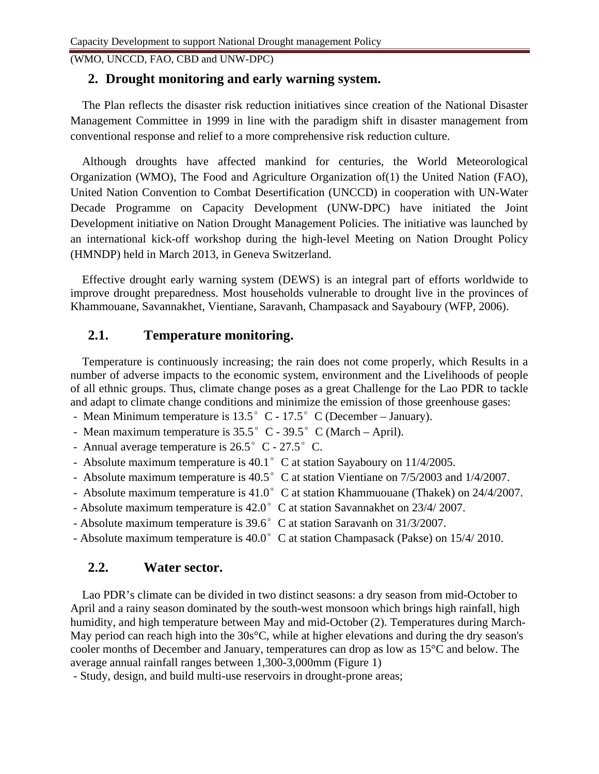### **2. Drought monitoring and early warning system.**

 The Plan reflects the disaster risk reduction initiatives since creation of the National Disaster Management Committee in 1999 in line with the paradigm shift in disaster management from conventional response and relief to a more comprehensive risk reduction culture.

 Although droughts have affected mankind for centuries, the World Meteorological Organization (WMO), The Food and Agriculture Organization of(1) the United Nation (FAO), United Nation Convention to Combat Desertification (UNCCD) in cooperation with UN-Water Decade Programme on Capacity Development (UNW-DPC) have initiated the Joint Development initiative on Nation Drought Management Policies. The initiative was launched by an international kick-off workshop during the high-level Meeting on Nation Drought Policy (HMNDP) held in March 2013, in Geneva Switzerland.

Effective drought early warning system (DEWS) is an integral part of efforts worldwide to improve drought preparedness. Most households vulnerable to drought live in the provinces of Khammouane, Savannakhet, Vientiane, Saravanh, Champasack and Sayaboury (WFP, 2006).

# **2.1. Temperature monitoring.**

 Temperature is continuously increasing; the rain does not come properly, which Results in a number of adverse impacts to the economic system, environment and the Livelihoods of people of all ethnic groups. Thus, climate change poses as a great Challenge for the Lao PDR to tackle and adapt to climate change conditions and minimize the emission of those greenhouse gases:

- Mean Minimum temperature is  $13.5^{\circ}$  C  $17.5^{\circ}$  C (December January).
- Mean maximum temperature is  $35.5^{\circ}$  C  $39.5^{\circ}$  C (March April).
- Annual average temperature is  $26.5^{\circ}$  C  $27.5^{\circ}$  C.
- Absolute maximum temperature is 40.1° C at station Sayaboury on 11/4/2005.
- Absolute maximum temperature is 40.5° C at station Vientiane on 7/5/2003 and 1/4/2007.
- Absolute maximum temperature is  $41.0^{\circ}$  C at station Khammuouane (Thakek) on 24/4/2007.
- Absolute maximum temperature is 42.0° C at station Savannakhet on 23/4/ 2007.
- Absolute maximum temperature is 39.6° C at station Saravanh on 31/3/2007.
- Absolute maximum temperature is 40.0° C at station Champasack (Pakse) on 15/4/ 2010.

## **2.2. Water sector.**

 Lao PDR's climate can be divided in two distinct seasons: a dry season from mid-October to April and a rainy season dominated by the south-west monsoon which brings high rainfall, high humidity, and high temperature between May and mid-October (2). Temperatures during March-May period can reach high into the 30s<sup>o</sup>C, while at higher elevations and during the dry season's cooler months of December and January, temperatures can drop as low as 15°C and below. The average annual rainfall ranges between 1,300-3,000mm (Figure 1)

- Study, design, and build multi-use reservoirs in drought-prone areas;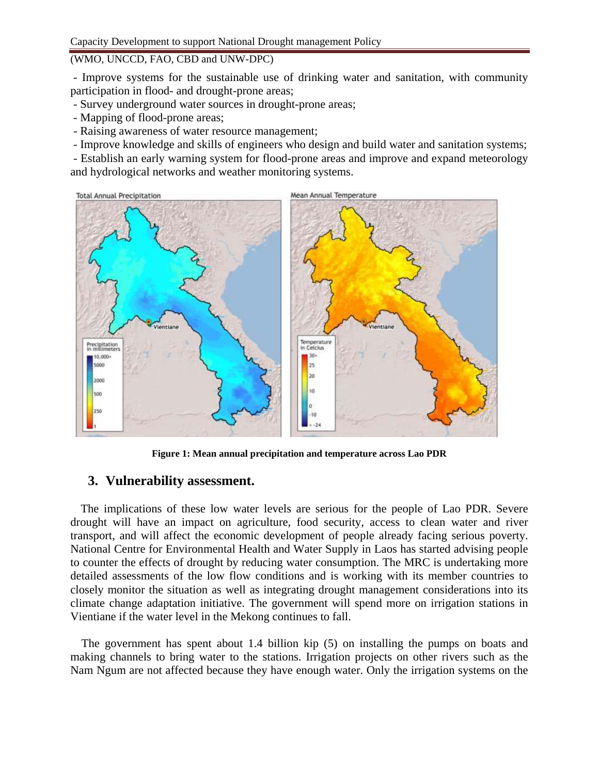- Improve systems for the sustainable use of drinking water and sanitation, with community participation in flood- and drought-prone areas;

- Survey underground water sources in drought-prone areas;
- Mapping of flood-prone areas;
- Raising awareness of water resource management;
- Improve knowledge and skills of engineers who design and build water and sanitation systems;

- Establish an early warning system for flood-prone areas and improve and expand meteorology and hydrological networks and weather monitoring systems.



**Figure 1: Mean annual precipitation and temperature across Lao PDR**

### **3. Vulnerability assessment.**

The implications of these low water levels are serious for the people of Lao PDR. Severe drought will have an impact on agriculture, food security, access to clean water and river transport, and will affect the economic development of people already facing serious poverty. National Centre for Environmental Health and Water Supply in Laos has started advising people to counter the effects of drought by reducing water consumption. The MRC is undertaking more detailed assessments of the low flow conditions and is working with its member countries to closely monitor the situation as well as integrating drought management considerations into its climate change adaptation initiative. The government will spend more on irrigation stations in Vientiane if the water level in the Mekong continues to fall.

The government has spent about 1.4 billion kip (5) on installing the pumps on boats and making channels to bring water to the stations. Irrigation projects on other rivers such as the Nam Ngum are not affected because they have enough water. Only the irrigation systems on the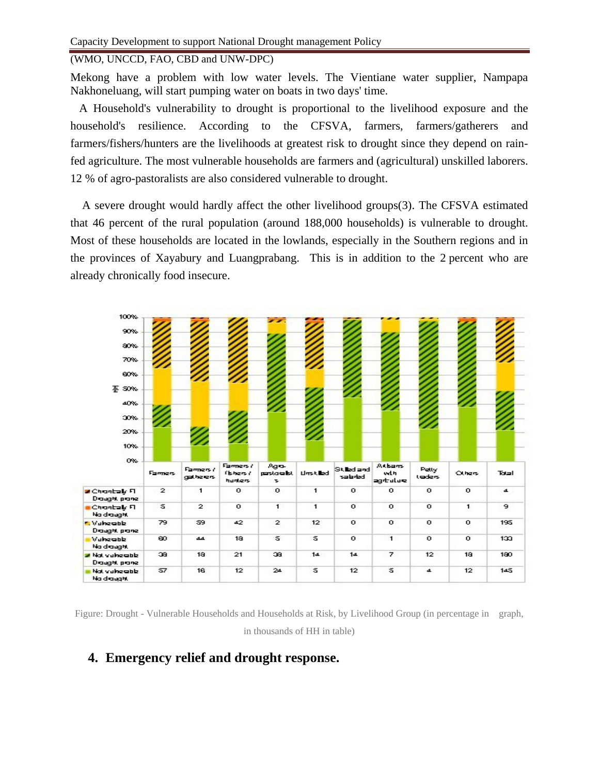Mekong have a problem with low water levels. The Vientiane water supplier, Nampapa Nakhoneluang, will start pumping water on boats in two days' time.

 A Household's vulnerability to drought is proportional to the livelihood exposure and the household's resilience. According to the CFSVA, farmers, farmers/gatherers and farmers/fishers/hunters are the livelihoods at greatest risk to drought since they depend on rainfed agriculture. The most vulnerable households are farmers and (agricultural) unskilled laborers. 12 % of agro-pastoralists are also considered vulnerable to drought.

 A severe drought would hardly affect the other livelihood groups(3). The CFSVA estimated that 46 percent of the rural population (around 188,000 households) is vulnerable to drought. Most of these households are located in the lowlands, especially in the Southern regions and in the provinces of Xayabury and Luangprabang. This is in addition to the 2 percent who are already chronically food insecure.



Figure: Drought - Vulnerable Households and Households at Risk, by Livelihood Group (in percentage in graph, in thousands of HH in table)

### **4. Emergency relief and drought response.**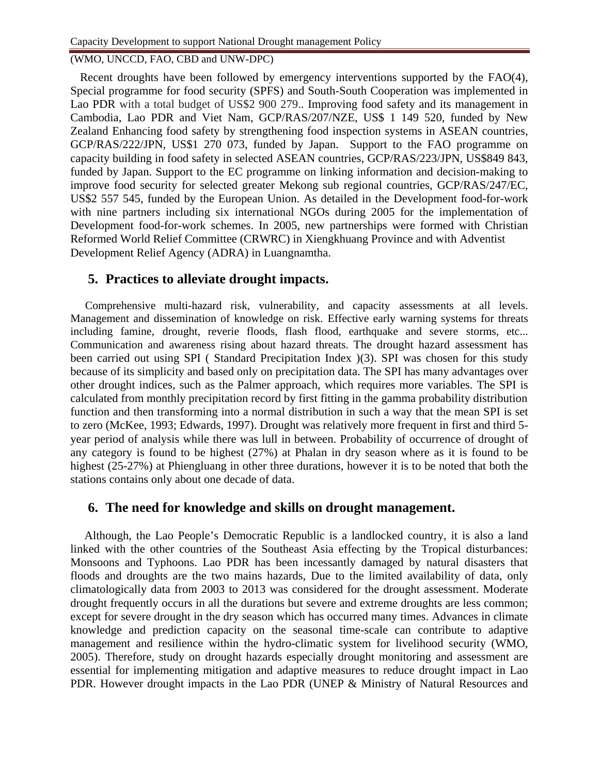Recent droughts have been followed by emergency interventions supported by the FAO(4), Special programme for food security (SPFS) and South-South Cooperation was implemented in Lao PDR with a total budget of US\$2 900 279.. Improving food safety and its management in Cambodia, Lao PDR and Viet Nam, GCP/RAS/207/NZE, US\$ 1 149 520, funded by New Zealand Enhancing food safety by strengthening food inspection systems in ASEAN countries, GCP/RAS/222/JPN, US\$1 270 073, funded by Japan. Support to the FAO programme on capacity building in food safety in selected ASEAN countries, GCP/RAS/223/JPN, US\$849 843, funded by Japan. Support to the EC programme on linking information and decision-making to improve food security for selected greater Mekong sub regional countries, GCP/RAS/247/EC, US\$2 557 545, funded by the European Union. As detailed in the Development food-for-work with nine partners including six international NGOs during 2005 for the implementation of Development food-for-work schemes. In 2005, new partnerships were formed with Christian Reformed World Relief Committee (CRWRC) in Xiengkhuang Province and with Adventist Development Relief Agency (ADRA) in Luangnamtha.

## **5. Practices to alleviate drought impacts.**

Comprehensive multi-hazard risk, vulnerability, and capacity assessments at all levels. Management and dissemination of knowledge on risk. Effective early warning systems for threats including famine, drought, reverie floods, flash flood, earthquake and severe storms, etc... Communication and awareness rising about hazard threats. The drought hazard assessment has been carried out using SPI ( Standard Precipitation Index )(3). SPI was chosen for this study because of its simplicity and based only on precipitation data. The SPI has many advantages over other drought indices, such as the Palmer approach, which requires more variables. The SPI is calculated from monthly precipitation record by first fitting in the gamma probability distribution function and then transforming into a normal distribution in such a way that the mean SPI is set to zero (McKee, 1993; Edwards, 1997). Drought was relatively more frequent in first and third 5 year period of analysis while there was lull in between. Probability of occurrence of drought of any category is found to be highest (27%) at Phalan in dry season where as it is found to be highest (25-27%) at Phiengluang in other three durations, however it is to be noted that both the stations contains only about one decade of data.

### **6. The need for knowledge and skills on drought management.**

 Although, the Lao People's Democratic Republic is a landlocked country, it is also a land linked with the other countries of the Southeast Asia effecting by the Tropical disturbances: Monsoons and Typhoons. Lao PDR has been incessantly damaged by natural disasters that floods and droughts are the two mains hazards, Due to the limited availability of data, only climatologically data from 2003 to 2013 was considered for the drought assessment. Moderate drought frequently occurs in all the durations but severe and extreme droughts are less common; except for severe drought in the dry season which has occurred many times. Advances in climate knowledge and prediction capacity on the seasonal time-scale can contribute to adaptive management and resilience within the hydro-climatic system for livelihood security (WMO, 2005). Therefore, study on drought hazards especially drought monitoring and assessment are essential for implementing mitigation and adaptive measures to reduce drought impact in Lao PDR. However drought impacts in the Lao PDR (UNEP & Ministry of Natural Resources and